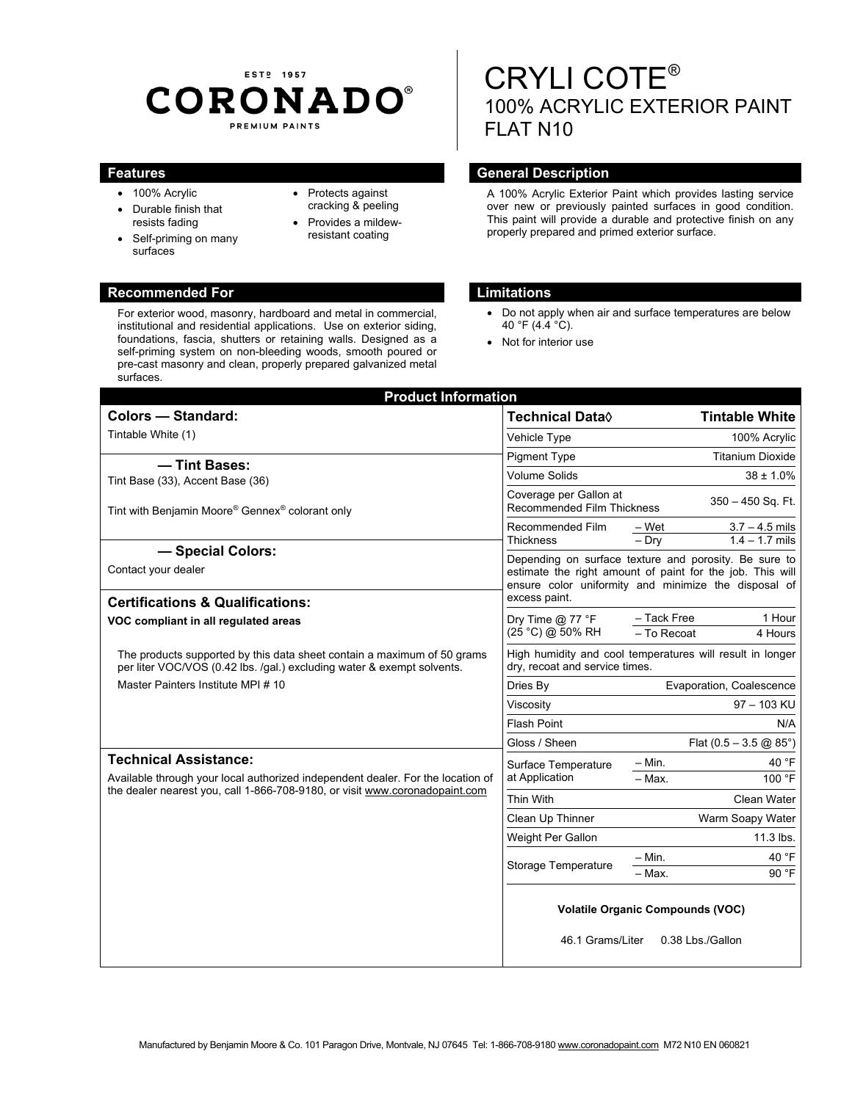## EST<sub>P</sub> 1957 **CORONADO®** PREMIUM PAINTS

- 100% Acrylic
- Durable finish that resists fading
- Self-priming on many surfaces
- Protects against cracking & peeling
- Provides a mildewresistant coating

#### **Recommended For Limitations**

For exterior wood, masonry, hardboard and metal in commercial, institutional and residential applications. Use on exterior siding, foundations, fascia, shutters or retaining walls. Designed as a self-priming system on non-bleeding woods, smooth poured or pre-cast masonry and clean, properly prepared galvanized metal surfaces.

# CRYLI COTE® 100% ACRYLIC EXTERIOR PAINT FLAT N10

### **Features General Description Ceneral Description**

A 100% Acrylic Exterior Paint which provides lasting service over new or previously painted surfaces in good condition. This paint will provide a durable and protective finish on any properly prepared and primed exterior surface.

- Do not apply when air and surface temperatures are below 40 °F (4.4 °C).
- Not for interior use

| <b>Product Information</b>                                                                                                                                     |                                                                                                                                                                                             |                                                          |
|----------------------------------------------------------------------------------------------------------------------------------------------------------------|---------------------------------------------------------------------------------------------------------------------------------------------------------------------------------------------|----------------------------------------------------------|
| <b>Colors - Standard:</b>                                                                                                                                      | Technical Data $\Diamond$                                                                                                                                                                   | <b>Tintable White</b>                                    |
| Tintable White (1)                                                                                                                                             | Vehicle Type                                                                                                                                                                                | 100% Acrylic                                             |
| - Tint Bases:                                                                                                                                                  | <b>Pigment Type</b>                                                                                                                                                                         | <b>Titanium Dioxide</b>                                  |
| Tint Base (33), Accent Base (36)                                                                                                                               | <b>Volume Solids</b>                                                                                                                                                                        | $38 \pm 1.0\%$                                           |
| Tint with Benjamin Moore® Gennex® colorant only                                                                                                                | Coverage per Gallon at<br>350 - 450 Sq. Ft.<br>Recommended Film Thickness                                                                                                                   |                                                          |
|                                                                                                                                                                | Recommended Film<br><b>Thickness</b>                                                                                                                                                        | – Wet<br>$3.7 - 4.5$ mils<br>$-$ Dry<br>$1.4 - 1.7$ mils |
| - Special Colors:<br>Contact your dealer                                                                                                                       | Depending on surface texture and porosity. Be sure to<br>estimate the right amount of paint for the job. This will<br>ensure color uniformity and minimize the disposal of<br>excess paint. |                                                          |
| <b>Certifications &amp; Qualifications:</b><br>VOC compliant in all regulated areas                                                                            | Dry Time $@$ 77 °F<br>(25 °C) @ 50% RH                                                                                                                                                      | 1 Hour<br>- Tack Free<br>- To Recoat<br>4 Hours          |
| The products supported by this data sheet contain a maximum of 50 grams<br>per liter VOC/VOS (0.42 lbs. /gal.) excluding water & exempt solvents.              | High humidity and cool temperatures will result in longer<br>dry, recoat and service times.                                                                                                 |                                                          |
| Master Painters Institute MPI # 10                                                                                                                             | Dries By                                                                                                                                                                                    | Evaporation, Coalescence                                 |
|                                                                                                                                                                | Viscosity                                                                                                                                                                                   | 97 - 103 KU                                              |
|                                                                                                                                                                | <b>Flash Point</b>                                                                                                                                                                          | N/A                                                      |
|                                                                                                                                                                | Gloss / Sheen                                                                                                                                                                               | Flat $(0.5 - 3.5 \textcircled{2} 85^{\circ})$            |
| <b>Technical Assistance:</b>                                                                                                                                   | Surface Temperature<br>at Application                                                                                                                                                       | $-$ Min.<br>40 °F                                        |
| Available through your local authorized independent dealer. For the location of<br>the dealer nearest you, call 1-866-708-9180, or visit www.coronadopaint.com |                                                                                                                                                                                             | $-$ Max.<br>100 °F                                       |
|                                                                                                                                                                | Thin With                                                                                                                                                                                   | Clean Water                                              |
|                                                                                                                                                                | Clean Up Thinner                                                                                                                                                                            | Warm Soapy Water                                         |
|                                                                                                                                                                | Weight Per Gallon                                                                                                                                                                           | 11.3 lbs.                                                |
|                                                                                                                                                                | <b>Storage Temperature</b>                                                                                                                                                                  | $-$ Min.<br>40 °F                                        |
|                                                                                                                                                                |                                                                                                                                                                                             | 90 °F<br>– Мах.                                          |
|                                                                                                                                                                | <b>Volatile Organic Compounds (VOC)</b><br>0.38 Lbs./Gallon<br>46.1 Grams/Liter                                                                                                             |                                                          |